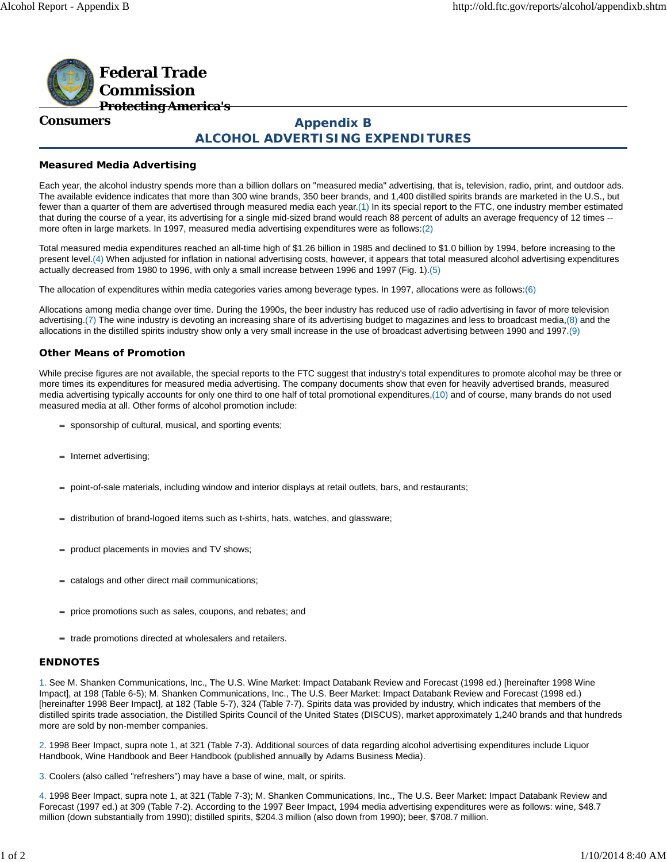

#### **Consumers**

# **Appendix B ALCOHOL ADVERTISING EXPENDITURES**

# **Measured Media Advertising**

Each year, the alcohol industry spends more than a billion dollars on "measured media" advertising, that is, television, radio, print, and outdoor ads. The available evidence indicates that more than 300 wine brands, 350 beer brands, and 1,400 distilled spirits brands are marketed in the U.S., but fewer than a quarter of them are advertised through measured media each year.(1) In its special report to the FTC, one industry member estimated that during the course of a year, its advertising for a single mid-sized brand would reach 88 percent of adults an average frequency of 12 times - more often in large markets. In 1997, measured media advertising expenditures were as follows:(2)

Total measured media expenditures reached an all-time high of \$1.26 billion in 1985 and declined to \$1.0 billion by 1994, before increasing to the present level.(4) When adjusted for inflation in national advertising costs, however, it appears that total measured alcohol advertising expenditures actually decreased from 1980 to 1996, with only a small increase between 1996 and 1997 (Fig. 1).(5)

The allocation of expenditures within media categories varies among beverage types. In 1997, allocations were as follows:(6)

Allocations among media change over time. During the 1990s, the beer industry has reduced use of radio advertising in favor of more television advertising.(7) The wine industry is devoting an increasing share of its advertising budget to magazines and less to broadcast media,(8) and the allocations in the distilled spirits industry show only a very small increase in the use of broadcast advertising between 1990 and 1997.(9)

## **Other Means of Promotion**

While precise figures are not available, the special reports to the FTC suggest that industry's total expenditures to promote alcohol may be three or more times its expenditures for measured media advertising. The company documents show that even for heavily advertised brands, measured media advertising typically accounts for only one third to one half of total promotional expenditures,(10) and of course, many brands do not used measured media at all. Other forms of alcohol promotion include:

- sponsorship of cultural, musical, and sporting events;
- Internet advertising;
- point-of-sale materials, including window and interior displays at retail outlets, bars, and restaurants;
- distribution of brand-logoed items such as t-shirts, hats, watches, and glassware;
- product placements in movies and TV shows;
- catalogs and other direct mail communications;
- price promotions such as sales, coupons, and rebates; and
- trade promotions directed at wholesalers and retailers.

## **ENDNOTES**

1. See M. Shanken Communications, Inc., The U.S. Wine Market: Impact Databank Review and Forecast (1998 ed.) [hereinafter 1998 Wine Impact], at 198 (Table 6-5); M. Shanken Communications, Inc., The U.S. Beer Market: Impact Databank Review and Forecast (1998 ed.) [hereinafter 1998 Beer Impact], at 182 (Table 5-7), 324 (Table 7-7). Spirits data was provided by industry, which indicates that members of the distilled spirits trade association, the Distilled Spirits Council of the United States (DISCUS), market approximately 1,240 brands and that hundreds more are sold by non-member companies.

2. 1998 Beer Impact, supra note 1, at 321 (Table 7-3). Additional sources of data regarding alcohol advertising expenditures include Liquor Handbook, Wine Handbook and Beer Handbook (published annually by Adams Business Media).

3. Coolers (also called "refreshers") may have a base of wine, malt, or spirits.

4. 1998 Beer Impact, supra note 1, at 321 (Table 7-3); M. Shanken Communications, Inc., The U.S. Beer Market: Impact Databank Review and Forecast (1997 ed.) at 309 (Table 7-2). According to the 1997 Beer Impact, 1994 media advertising expenditures were as follows: wine, \$48.7 million (down substantially from 1990); distilled spirits, \$204.3 million (also down from 1990); beer, \$708.7 million.